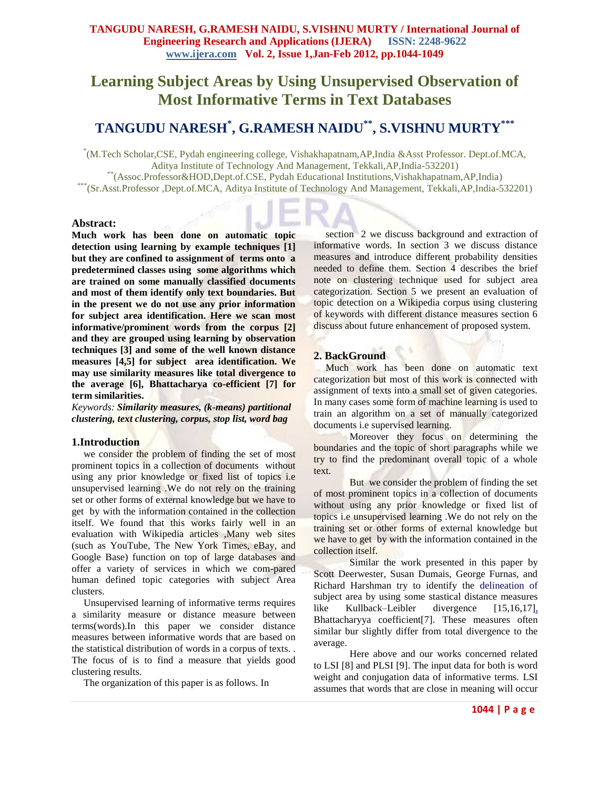# **Learning Subject Areas by Using Unsupervised Observation of Most Informative Terms in Text Databases**

# **TANGUDU NARESH\* , G.RAMESH NAIDU\*\*, S.VISHNU MURTY\*\*\***

\* (M.Tech Scholar,CSE, Pydah engineering college, Vishakhapatnam,AP,India &Asst Professor. Dept.of.MCA, Aditya Institute of Technology And Management, Tekkali,AP,India-532201) \*\*(Assoc.Professor&HOD,Dept.of.CSE, Pydah Educational Institutions,Vishakhapatnam,AP,India) \*\*\*(Sr.Asst.Professor ,Dept.of.MCA, Aditya Institute of Technology And Management, Tekkali,AP,India-532201)

## **Abstract:**

**Much work has been done on automatic topic detection using learning by example techniques [1] but they are confined to assignment of terms onto a predetermined classes using some algorithms which are trained on some manually classified documents and most of them identify only text boundaries. But in the present we do not use any prior information for subject area identification. Here we scan most informative/prominent words from the corpus [2] and they are grouped using learning by observation techniques [3] and some of the well known distance measures [4,5] for subject area identification. We may use similarity measures like total divergence to the average [6], Bhattacharya co-efficient [7] for term similarities.**

*Keywords: Similarity measures, (k-means) partitional clustering, text clustering, corpus, stop list, word bag*

### **1.Introduction**

we consider the problem of finding the set of most prominent topics in a collection of documents without using any prior knowledge or fixed list of topics i.e unsupervised learning .We do not rely on the training set or other forms of external knowledge but we have to get by with the information contained in the collection itself. We found that this works fairly well in an evaluation with Wikipedia articles ,Many web sites (such as YouTube, The New York Times, eBay, and Google Base) function on top of large databases and offer a variety of services in which we com-pared human defined topic categories with subject Area clusters.

Unsupervised learning of informative terms requires a similarity measure or distance measure between terms(words).In this paper we consider distance measures between informative words that are based on the statistical distribution of words in a corpus of texts. . The focus of is to find a measure that yields good clustering results.

The organization of this paper is as follows. In

section 2 we discuss background and extraction of informative words. In section 3 we discuss distance measures and introduce different probability densities needed to define them. Section 4 describes the brief note on clustering technique used for subject area categorization. Section 5 we present an evaluation of topic detection on a Wikipedia corpus using clustering of keywords with different distance measures section 6 discuss about future enhancement of proposed system.

# **2. BackGround**

Much work has been done on automatic text categorization but most of this work is connected with assignment of texts into a small set of given categories. In many cases some form of machine learning is used to train an algorithm on a set of manually categorized documents i.e supervised learning.

Moreover they focus on determining the boundaries and the topic of short paragraphs while we try to find the predominant overall topic of a whole text.

But we consider the problem of finding the set of most prominent topics in a collection of documents without using any prior knowledge or fixed list of topics i.e unsupervised learning .We do not rely on the training set or other forms of external knowledge but we have to get by with the information contained in the collection itself.

Similar the work presented in this paper by Scott Deerwester, Susan Dumais, George Furnas, and Richard Harshman try to identify the delineation of subject area by using some stastical distance measures like Kullback–Leibler divergence [15,16,17], Bhattacharyya coefficient[7]. These measures often similar bur slightly differ from total divergence to the average.

Here above and our works concerned related to LSI [8] and PLSI [9]. The input data for both is word weight and conjugation data of informative terms. LSI assumes that words that are close in meaning will occur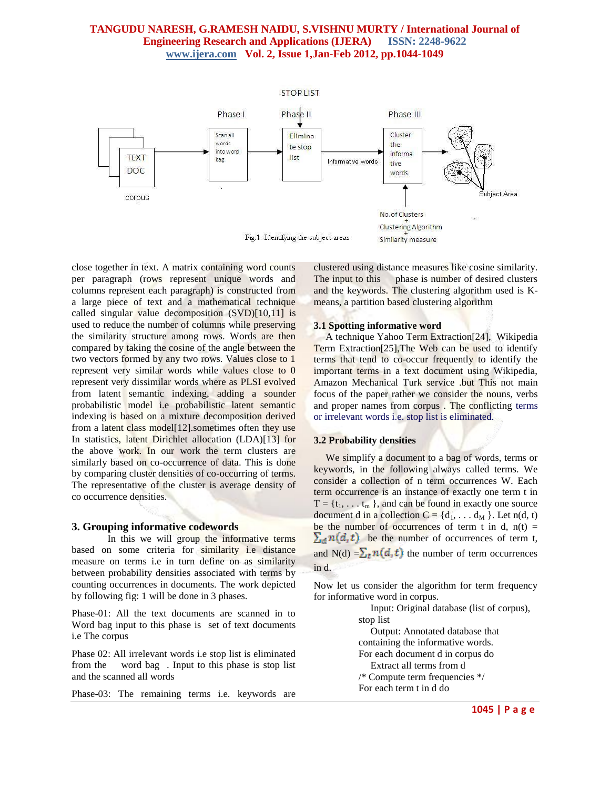

close together in text. A matrix containing word counts per paragraph (rows represent unique words and columns represent each paragraph) is constructed from a large piece of text and a mathematical technique called singular value decomposition  $(SVD)[10,11]$  is used to reduce the number of columns while preserving the similarity structure among rows. Words are then compared by taking the cosine of the angle between the two vectors formed by any two rows. Values close to 1 represent very similar words while values close to 0 represent very dissimilar words where as PLSI evolved from latent semantic indexing, adding a sounder probabilistic model i.e probabilistic latent semantic indexing is based on a mixture decomposition derived from a latent class model[12].sometimes often they use In statistics, latent Dirichlet allocation (LDA)[13] for the above work. In our work the term clusters are similarly based on co-occurrence of data. This is done by comparing cluster densities of co-occurring of terms. The representative of the cluster is average density of co occurrence densities.

## **3. Grouping informative codewords**

In this we will group the informative terms based on some criteria for similarity i.e distance measure on terms i.e in turn define on as similarity between probability densities associated with terms by counting occurrences in documents. The work depicted by following fig: 1 will be done in 3 phases.

Phase-01: All the text documents are scanned in to Word bag input to this phase is set of text documents i.e The corpus

Phase 02: All irrelevant words i.e stop list is eliminated from the word bag . Input to this phase is stop list and the scanned all words

Phase-03: The remaining terms i.e. keywords are

clustered using distance measures like cosine similarity. The input to this phase is number of desired clusters and the keywords. The clustering algorithm used is Kmeans, a partition based clustering algorithm

#### **3.1 Spotting informative word**

A technique Yahoo Term Extraction[24], Wikipedia Term Extraction[25],The Web can be used to identify terms that tend to co-occur frequently to identify the important terms in a text document using Wikipedia, Amazon Mechanical Turk service .but This not main focus of the paper rather we consider the nouns, verbs and proper names from corpus . The conflicting terms or irrelevant words i.e. stop list is eliminated.

#### **3.2 Probability densities**

We simplify a document to a bag of words, terms or keywords, in the following always called terms. We consider a collection of n term occurrences W. Each term occurrence is an instance of exactly one term t in  $T = \{t_1, \ldots, t_m\}$ , and can be found in exactly one source document d in a collection  $C = \{d_1, \ldots, d_M\}$ . Let n(d, t) be the number of occurrences of term t in d,  $n(t)$  =  $\sum_{d} n(d, t)$  be the number of occurrences of term t, and N(d)  $=\sum_{t} n(d, t)$  the number of term occurrences in d.

Now let us consider the algorithm for term frequency for informative word in corpus.

> Input: Original database (list of corpus), stop list Output: Annotated database that containing the informative words. For each document d in corpus do Extract all terms from d /\* Compute term frequencies \*/ For each term t in d do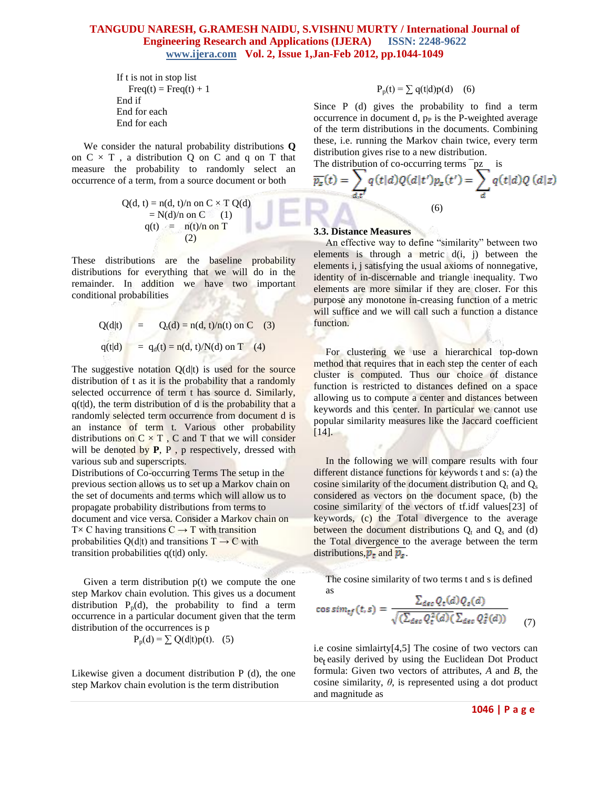```
If t is not in stop list
   Freq(t) = Freq(t) + 1End if
End for each
End for each
```
We consider the natural probability distributions **Q** on  $C \times T$ , a distribution Q on C and q on T that measure the probability to randomly select an occurrence of a term, from a source document or both

$$
Q(d, t) = n(d, t)/n \text{ on } C \times T
$$
 
$$
Q(d)
$$
  
= N(d)/n on C (1)  

$$
q(t) = n(t)/n \text{ on } T
$$
 (2)

These distributions are the baseline probability distributions for everything that we will do in the remainder. In addition we have two important conditional probabilities

$$
Q(\text{d}|t) = Q_t(\text{d}) = n(\text{d}, t)/n(t) \text{ on } C \quad (3)
$$
  
q(t|d) = q<sub>d</sub>(t) = n(d, t)/N(d) on T \quad (4)

The suggestive notation  $Q(d|t)$  is used for the source distribution of t as it is the probability that a randomly selected occurrence of term t has source d. Similarly,  $q(t|d)$ , the term distribution of d is the probability that a randomly selected term occurrence from document d is an instance of term t. Various other probability distributions on  $C \times T$ , C and T that we will consider will be denoted by **P**, **P**, **p** respectively, dressed with various sub and superscripts.

Distributions of Co-occurring Terms The setup in the previous section allows us to set up a Markov chain on the set of documents and terms which will allow us to propagate probability distributions from terms to document and vice versa. Consider a Markov chain on  $T \times C$  having transitions  $C \rightarrow T$  with transition probabilities Q(d|t) and transitions  $T \rightarrow C$  with transition probabilities q(t|d) only.

Given a term distribution  $p(t)$  we compute the one step Markov chain evolution. This gives us a document distribution  $P_p(d)$ , the probability to find a term occurrence in a particular document given that the term distribution of the occurrences is p

$$
P_p(d) = \sum Q(d|t)p(t). \quad (5)
$$

Likewise given a document distribution P (d), the one step Markov chain evolution is the term distribution

$$
P_p(t) = \sum q(t|d)p(d) \quad (6)
$$

Since P (d) gives the probability to find a term occurrence in document d,  $p<sub>P</sub>$  is the P-weighted average of the term distributions in the documents. Combining these, i.e. running the Markov chain twice, every term distribution gives rise to a new distribution.<br>The distribution of an acquirements forms  $\overline{z}$ The distribution

The distribution of co-occurring terms 
$$
\overline{pz}
$$
 is  
\n
$$
\overline{p_z}(t) = \sum_{d,t'} q(t|d)Q(d|t')p_z(t') = \sum_{d} q(t|d)Q(d|z)
$$
\n(6)

### **3.3. Distance Measures**

An effective way to define "similarity" between two elements is through a metric  $d(i, j)$  between the elements i, j satisfying the usual axioms of nonnegative, identity of in-discernable and triangle inequality. Two elements are more similar if they are closer. For this purpose any monotone in-creasing function of a metric will suffice and we will call such a function a distance function.

For clustering we use a hierarchical top-down method that requires that in each step the center of each cluster is computed. Thus our choice of distance function is restricted to distances defined on a space allowing us to compute a center and distances between keywords and this center. In particular we cannot use popular similarity measures like the Jaccard coefficient [14].

In the following we will compare results with four different distance functions for keywords t and s: (a) the cosine similarity of the document distribution  $Q_t$  and  $Q_s$ considered as vectors on the document space, (b) the cosine similarity of the vectors of tf.idf values[23] of keywords, (c) the Total divergence to the average between the document distributions  $Q_t$  and  $Q_s$  and (d) the Total divergence to the average between the term distributions,  $\overline{p_t}$  and  $\overline{p_s}$ .

The cosine similarity of two terms t and s is defined as

$$
\cos sim_{tf}(t,s) = \frac{\sum_{dec} Q_t(d) Q_s(d)}{\sqrt{(\sum_{dec} Q_t^2(d))} (\sum_{dec} Q_s^2(d))}
$$
(7)

 i.e cosine simlairty[4,5] The cosine of two vectors can be<sub>t</sub> easily derived by using the Euclidean Dot Product formula: Given two vectors of attributes, *A* and *B*, the cosine similarity,  $\theta$ , is represented using a dot product and magnitude as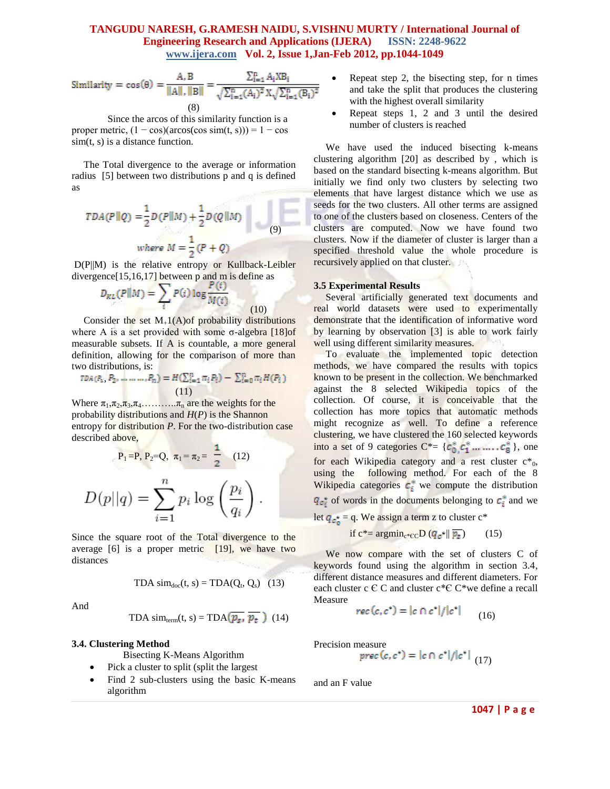Similarly = 
$$
\cos(\theta) = \frac{A}{\|A\|, \|B\|} = \frac{\sum_{i=1}^{n} A_i X B_i}{\sqrt{\sum_{i=1}^{n} (A_i)^2} X \sqrt{\sum_{i=1}^{n} (B_i)^2}}
$$
  
(8)

Since the arcos of this similarity function is a proper metric,  $(1 - \cos)(\arccos(\cos \sin(t, s))) = 1 - \cos$ sim(t, s) is a distance function.

The Total divergence to the average or information radius [5] between two distributions p and q is defined as

$$
TDA(P||Q) = \frac{1}{2}D(P||M) + \frac{1}{2}D(Q||M)
$$
  
where  $M = \frac{1}{2}(P+Q)$  (9)

D(P||M) is the relative entropy or Kullback-Leibler divergence[15,16,17] between p and m is define as

$$
D_{KL}(P||M) = \sum_i P(i) \log \frac{P(i)}{M(i)}
$$

Consider the set  $M_{+}1(A)$  of probability distributions where A is a set provided with some σ-algebra  $[18]$ of measurable subsets. If A is countable, a more general definition, allowing for the comparison of more than two distributions, is:

 $(10)$ 

$$
TDA(P_1, P_2, \dots, P_n) = H(\sum_{i=1}^n \pi_i P_i) - \sum_{i=0}^n \pi_i H(P_i)
$$
\n(11)

Where  $\pi_1, \pi_2, \pi_3, \pi_4, \ldots, \pi_n$  are the weights for the probability distributions and *H*(*P*) is the Shannon entropy for distribution *P*. For the two-distribution case described above,

$$
P_1 = P, P_2 = Q, \pi_1 = \pi_2 = \frac{1}{2} \quad (12)
$$

$$
D(p||q) = \sum_{i=1}^n p_i \log \left(\frac{p_i}{q_i}\right).
$$

Since the square root of the Total divergence to the average  $[6]$  is a proper metric  $[19]$ , we have two distances

$$
TDA \, \text{sim}_{\text{doc}}(t, s) = TDA(Q_t, Q_s) \quad (13)
$$

And

TDA sim<sub>term</sub>(t, s) = TDA(
$$
\overline{p_s}
$$
,  $\overline{p_t}$ ) (14)

### **3.4. Clustering Method**

Bisecting K-Means Algorithm

- Pick a cluster to split (split the largest
- Find 2 sub-clusters using the basic K-means algorithm
- Repeat step 2, the bisecting step, for n times and take the split that produces the clustering with the highest overall similarity
- Repeat steps 1, 2 and 3 until the desired number of clusters is reached

We have used the induced bisecting k-means clustering algorithm [20] as described by , which is based on the standard bisecting k-means algorithm. But initially we find only two clusters by selecting two elements that have largest distance which we use as seeds for the two clusters. All other terms are assigned to one of the clusters based on closeness. Centers of the clusters are computed. Now we have found two clusters. Now if the diameter of cluster is larger than a specified threshold value the whole procedure is recursively applied on that cluster.

#### **3.5 Experimental Results**

Several artificially generated text documents and real world datasets were used to experimentally demonstrate that the identification of informative word by learning by observation [3] is able to work fairly well using different similarity measures.

To evaluate the implemented topic detection methods, we have compared the results with topics known to be present in the collection. We benchmarked against the 8 selected Wikipedia topics of the collection. Of course, it is conceivable that the collection has more topics that automatic methods might recognize as well. To define a reference clustering, we have clustered the 160 selected keywords into a set of 9 categories  $C^* = \{c_0^*, c_1^*, \dots, c_8^*\}$ , one for each Wikipedia category and a rest cluster  $c^*_{0}$ , using the following method. For each of the 8 Wikipedia categories  $c_i^*$  we compute the distribution  $q_{c_i^*}$  of words in the documents belonging to  $c_i^*$  and we let  $q_{c_n^*} = q$ . We assign a term z to cluster  $c^*$ 

if 
$$
c^* = argmin_{c^* \in C} D(q_c^* || \overline{p_z})
$$
 (15)

We now compare with the set of clusters C of keywords found using the algorithm in section 3.4, different distance measures and different diameters. For each cluster c  $\in$  C and cluster c\* $\in$  C\*we define a recall Measure

$$
rec(c, c^*) = |c \cap c^*|/|c^*| \qquad (16)
$$

Precision measure

$$
prec(c, c^*) = |c \cap c^*|/|c^*| \tag{17}
$$

and an F value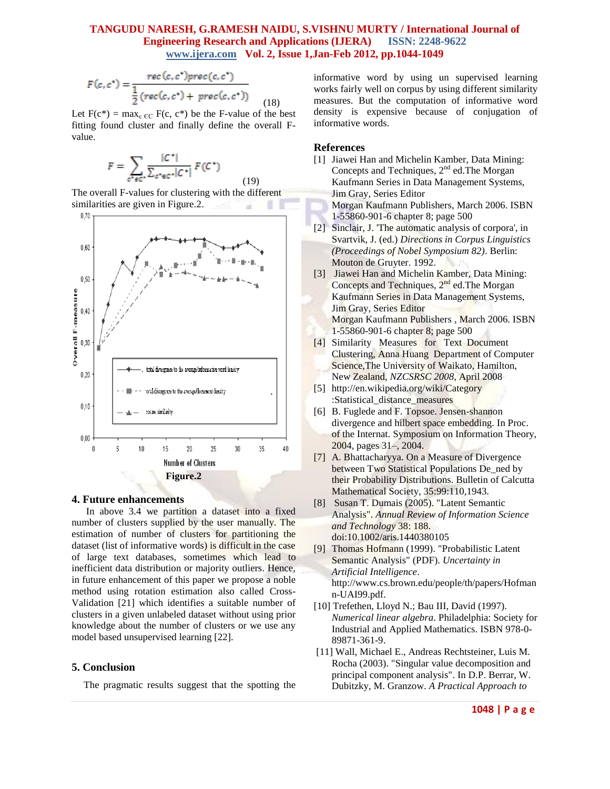$$
F(c,c^*) = \frac{rec(c,c^*)prec(c,c^*)}{\frac{1}{2}(rec(c,c^*) + prec(c,c^*))}
$$
(18)

Let  $F(c^*) = \max_{c \in C} F(c, c^*)$  be the F-value of the best fitting found cluster and finally define the overall Fvalue.

(19)

$$
F = \sum_{c^* \in C^*} \frac{|C^*|}{\sum_{c^* \in C^*} |C^*|} F(C^*)
$$

The overall F-values for clustering with the different similarities are given in Figure.2. a ٠



### **4. Future enhancements**

In above 3.4 we partition a dataset into a fixed number of clusters supplied by the user manually. The estimation of number of clusters for partitioning the dataset (list of informative words) is difficult in the case of large text databases, sometimes which lead to inefficient data distribution or majority outliers. Hence, in future enhancement of this paper we propose a noble method using rotation estimation also called Cross-Validation [21] which identifies a suitable number of clusters in a given unlabeled dataset without using prior knowledge about the number of clusters or we use any model based unsupervised learning [22].

### **5. Conclusion**

The pragmatic results suggest that the spotting the

informative word by using un supervised learning works fairly well on corpus by using different similarity measures. But the computation of informative word density is expensive because of conjugation of informative words.

## **References**

- [1] Jiawei Han and Michelin Kamber, Data Mining: Concepts and Techniques,  $2<sup>nd</sup>$  ed. The Morgan Kaufmann Series in Data Management Systems, Jim Gray, Series Editor
	- Morgan Kaufmann Publishers, March 2006. ISBN 1-55860-901-6 chapter 8; page 500
- [2] Sinclair, J. 'The automatic analysis of corpora', in Svartvik, J. (ed.) *Directions in Corpus Linguistics (Proceedings of Nobel Symposium 82)*. Berlin: Mouton de Gruyter. 1992.
- [3] Jiawei Han and Michelin Kamber, Data Mining: Concepts and Techniques,  $2<sup>nd</sup>$  ed. The Morgan Kaufmann Series in Data Management Systems, Jim Gray, Series Editor Morgan Kaufmann Publishers , March 2006. ISBN 1-55860-901-6 chapter 8; page 500
- [4] Similarity Measures for Text Document Clustering, Anna Huang Department of Computer Science,The University of Waikato, Hamilton, New Zealand, *NZCSRSC 2008*, April 2008
- [5] http://en.wikipedia.org/wiki/Category :Statistical\_distance\_measures
- [6] B. Fuglede and F. Topsoe. Jensen-shannon divergence and hilbert space embedding. In Proc. of the Internat. Symposium on Information Theory, 2004, pages 31–, 2004.
- [7] A. Bhattacharyya. On a Measure of Divergence between Two Statistical Populations De\_ned by their Probability Distributions. Bulletin of Calcutta Mathematical Society, 35:99:110,1943.
- [8] Susan T. Dumais (2005). "Latent Semantic Analysis". *Annual Review of Information Science and Technology* 38: 188. [doi:](http://en.wikipedia.org/wiki/Digital_object_identifier)10.1002/aris.1440380105
- [9] Thomas Hofmann (1999)[. "Probabilistic Latent](http://www.cs.brown.edu/people/th/papers/Hofmann-UAI99.pdf)  [Semantic Analysis"](http://www.cs.brown.edu/people/th/papers/Hofmann-UAI99.pdf) (PDF). *Uncertainty in Artificial Intelligence*. http://www.cs.brown.edu/people/th/papers/Hofman n-UAI99.pdf.
- [10] [Trefethen, Lloyd N.;](http://en.wikipedia.org/wiki/Lloyd_Nicholas_Trefethen) Bau III, David (1997). *Numerical linear algebra*. Philadelphia: Society for Industrial and Applied Mathematics. [ISBN](http://en.wikipedia.org/wiki/International_Standard_Book_Number) [978-0-](http://en.wikipedia.org/wiki/Special:BookSources/978-0-89871-361-9) [89871-361-9.](http://en.wikipedia.org/wiki/Special:BookSources/978-0-89871-361-9)
- [11] Wall, Michael E., Andreas Rechtsteiner, Luis M. Rocha (2003)[. "Singular value decomposition and](http://public.lanl.gov/mewall/kluwer2002.html)  [principal component analysis".](http://public.lanl.gov/mewall/kluwer2002.html) In D.P. Berrar, W. Dubitzky, M. Granzow. *A Practical Approach to*